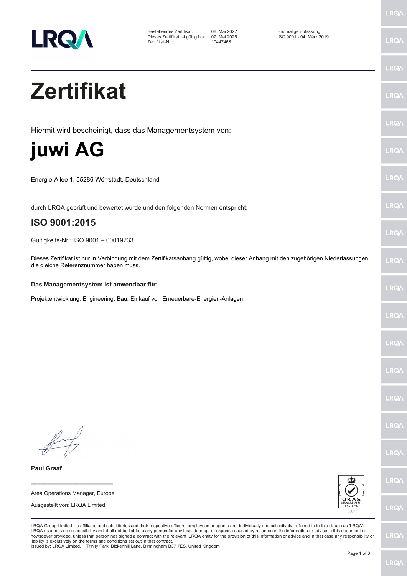

Bestehendes Zertifikat: 08. Mai 2022 Erstmalige Zulassung: Dieses Zertifikat ist gültig bis: 07. Mai 20<br>Zertifikat-Nr.: 10447468 Zertifikat-Nr.:

LRQ/

LRQ/

LRQ/

LRQ/

LRQ/

**LRQ/** 

LRQ/

LRQ/

**LRQA** 

**LRO** 

LRQ/

LRQ/

LRQ/

**LRQ/** 

LRQ/

**IRQA** 

LRQ/

LRQ/

LRQ/

## **Zertifikat**

Hiermit wird bescheinigt, dass das Managementsystem von:

**juwi AG**

Energie-Allee 1, 55286 Wörrstadt, Deutschland

durch LRQA geprüft und bewertet wurde und den folgenden Normen entspricht:

## **ISO 9001:2015**

Gültigkeits-Nr.: ISO 9001 – 00019233

Dieses Zertifikat ist nur in Verbindung mit dem Zertifikatsanhang gültig, wobei dieser Anhang mit den zugehörigen Niederlassungen die gleiche Referenznummer haben muss.

## **Das Managementsystem ist anwendbar für:**

Projektentwicklung, Engineering, Bau, Einkauf von Erneuerbare-Energien-Anlagen.

**\_\_\_\_\_\_\_\_\_\_\_\_\_\_\_\_\_\_\_\_\_\_\_\_** Area Operations Manager, Europe Ausgestellt von: LRQA Limited

**Paul Graaf**



LRQA Group Limited, its affiliates and subsidiaries and their respective officers, employees or agents are, individually and collectively, referred to in this clause as 'LRQA'. LRQA assumes no responsibility and shall not be liable to any person for any loss, damage or expense caused by reliance on the information or advice in this document or<br>howsoever provided, unless that person has signed a c liability is exclusively on the terms and conditions set out in that contract. Issued by: LRQA Limited, 1 Trinity Park, Bickenhill Lane, Birmingham B37 7ES, United Kingdom

Page 1 of 3

LRQ/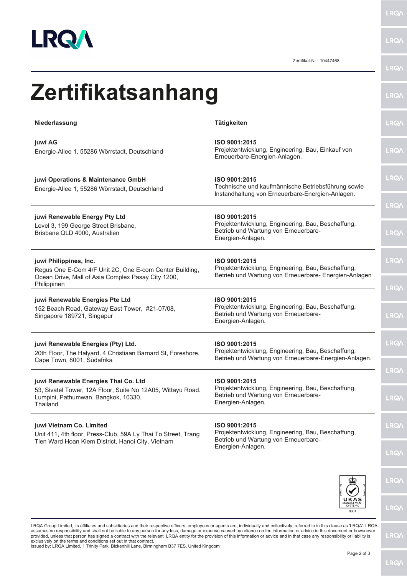

**LRQA** 

Zertifikat-Nr.: 10447468

| Niederlassung                                                                                                                                          | <b>Tätigkeiten</b>                                                                                                               |
|--------------------------------------------------------------------------------------------------------------------------------------------------------|----------------------------------------------------------------------------------------------------------------------------------|
| juwi AG<br>Energie-Allee 1, 55286 Wörrstadt, Deutschland                                                                                               | ISO 9001:2015<br>Projektentwicklung, Engineering, Bau, Einkauf von<br>Erneuerbare-Energien-Anlagen.                              |
| juwi Operations & Maintenance GmbH<br>Energie-Allee 1, 55286 Wörrstadt, Deutschland                                                                    | ISO 9001:2015<br>Technische und kaufmännische Betriebsführung sowie<br>Instandhaltung von Erneuerbare-Energien-Anlagen.          |
| juwi Renewable Energy Pty Ltd<br>Level 3, 199 George Street Brisbane,<br>Brisbane QLD 4000, Australien                                                 | ISO 9001:2015<br>Projektentwicklung, Engineering, Bau, Beschaffung,<br>Betrieb und Wartung von Erneuerbare-<br>Energien-Anlagen. |
| juwi Philippines, Inc.<br>Regus One E-Com 4/F Unit 2C, One E-com Center Building,<br>Ocean Drive, Mall of Asia Complex Pasay City 1200,<br>Philippinen | ISO 9001:2015<br>Projektentwicklung, Engineering, Bau, Beschaffung,<br>Betrieb und Wartung von Erneuerbare- Energien-Anlagen     |
| juwi Renewable Energies Pte Ltd<br>152 Beach Road, Gateway East Tower, #21-07/08,<br>Singapore 189721, Singapur                                        | ISO 9001:2015<br>Projektentwicklung, Engineering, Bau, Beschaffung,<br>Betrieb und Wartung von Erneuerbare-<br>Energien-Anlagen. |
| juwi Renewable Energies (Pty) Ltd.<br>20th Floor, The Halyard, 4 Christiaan Barnard St, Foreshore,<br>Cape Town, 8001, Südafrika                       | ISO 9001:2015<br>Projektentwicklung, Engineering, Bau, Beschaffung,<br>Betrieb und Wartung von Erneuerbare-Energien-Anlagen.     |
| juwi Renewable Energies Thai Co. Ltd<br>53, Sivatel Tower, 12A Floor, Suite No 12A05, Wittayu Road.<br>Lumpini, Pathumwan, Bangkok, 10330,<br>Thailand | ISO 9001:2015<br>Projektentwicklung, Engineering, Bau, Beschaffung,<br>Betrieb und Wartung von Erneuerbare-<br>Energien-Anlagen. |
| juwi Vietnam Co. Limited<br>Unit 411, 4th floor, Press-Club, 59A Ly Thai To Street, Trang<br>Tien Ward Hoan Kiem District, Hanoi City, Vietnam         | ISO 9001:2015<br>Projektentwicklung, Engineering, Bau, Beschaffung,<br>Betrieb und Wartung von Erneuerbare-<br>Energien-Anlagen. |



LRQA Group Limited, its affiliates and subsidiaries and their respective officers, employees or agents are, individually and collectively, referred to in this clause as 'LRQA'. LRQA<br>provided, unless that person has signed

**LRQA** 

**LRQA**